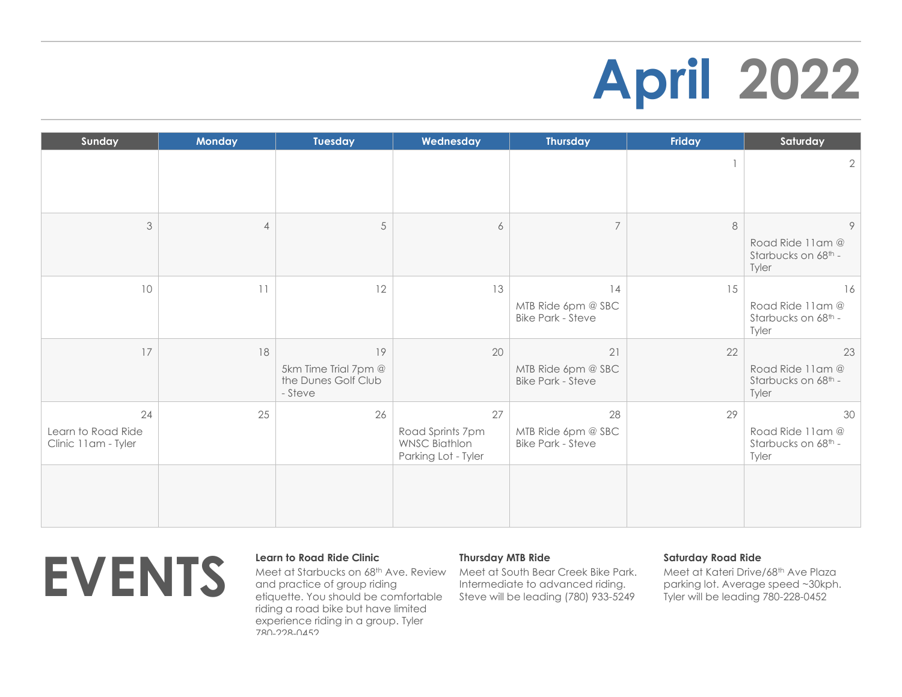# **April 2022**

| Sunday                                          | <b>Monday</b>  | <b>Tuesday</b>                                               | Wednesday                                                             | <b>Thursday</b>                                      | Friday | Saturday                                               |
|-------------------------------------------------|----------------|--------------------------------------------------------------|-----------------------------------------------------------------------|------------------------------------------------------|--------|--------------------------------------------------------|
|                                                 |                |                                                              |                                                                       |                                                      |        | $\mathbf{2}$                                           |
| 3                                               | $\overline{4}$ | $\sqrt{5}$                                                   | 6                                                                     | $\overline{7}$                                       | 8      | 9<br>Road Ride 11am @<br>Starbucks on 68th -<br>Tyler  |
| 10                                              | 11             | 12                                                           | 13                                                                    | 14<br>MTB Ride 6pm @ SBC<br><b>Bike Park - Steve</b> | 15     | 16<br>Road Ride 11am @<br>Starbucks on 68th -<br>Tyler |
| 17                                              | 18             | 19<br>5km Time Trial 7pm @<br>the Dunes Golf Club<br>- Steve | 20                                                                    | 21<br>MTB Ride 6pm @ SBC<br><b>Bike Park - Steve</b> | 22     | 23<br>Road Ride 11am @<br>Starbucks on 68th -<br>Tyler |
| 24<br>Learn to Road Ride<br>Clinic 11am - Tyler | 25             | 26                                                           | 27<br>Road Sprints 7pm<br><b>WNSC Biathlon</b><br>Parking Lot - Tyler | 28<br>MTB Ride 6pm @ SBC<br><b>Bike Park - Steve</b> | 29     | 30<br>Road Ride 11am @<br>Starbucks on 68th -<br>Tyler |
|                                                 |                |                                                              |                                                                       |                                                      |        |                                                        |



Meet at Starbucks on 68th Ave. Review and practice of group riding etiquette. You should be comfortable riding a road bike but have limited experience riding in a group. Tyler 780-228-0452

## **Thursday MTB Ride**

Meet at South Bear Creek Bike Park. Intermediate to advanced riding. Steve will be leading (780) 933-5249

## **Saturday Road Ride**

Meet at Kateri Drive/68th Ave Plaza parking lot. Average speed ~30kph. Tyler will be leading 780-228-0452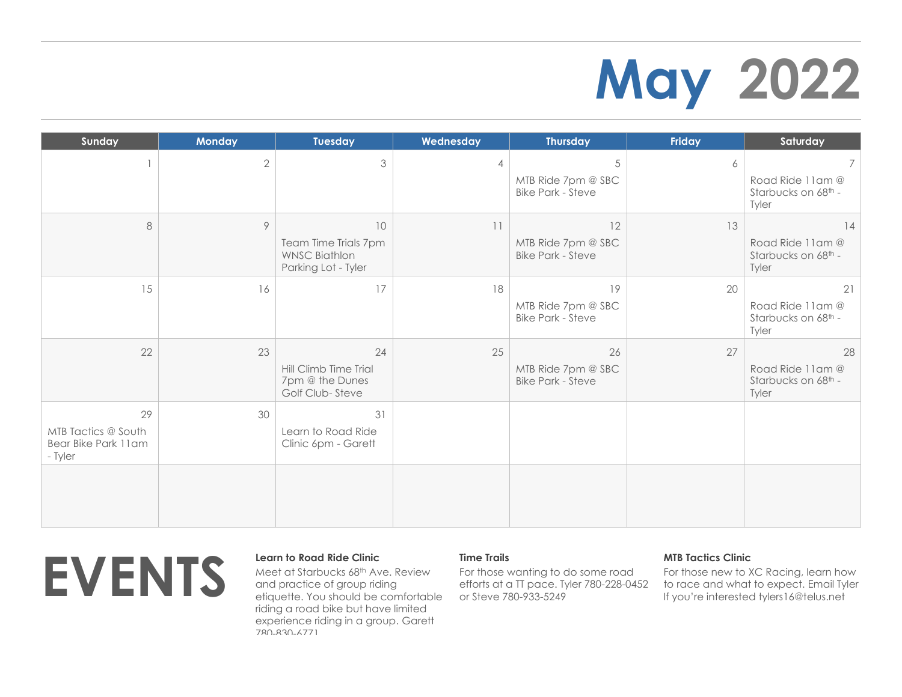# **May 2022**

| Sunday                                                      | <b>Monday</b> | Tuesday                                                                   | Wednesday      | <b>Thursday</b>                                      | Friday | Saturday                                               |
|-------------------------------------------------------------|---------------|---------------------------------------------------------------------------|----------------|------------------------------------------------------|--------|--------------------------------------------------------|
|                                                             | $\sqrt{2}$    | 3                                                                         | $\overline{4}$ | 5<br>MTB Ride 7pm @ SBC<br><b>Bike Park - Steve</b>  | 6      | 7<br>Road Ride 11am @<br>Starbucks on 68th -<br>Tyler  |
| 8                                                           | 9             | 10<br>Team Time Trials 7pm<br><b>WNSC Biathlon</b><br>Parking Lot - Tyler | 11             | 12<br>MTB Ride 7pm @ SBC<br><b>Bike Park - Steve</b> | 13     | 14<br>Road Ride 11am @<br>Starbucks on 68th -<br>Tyler |
| 15                                                          | 16            | 17                                                                        | 18             | 19<br>MTB Ride 7pm @ SBC<br><b>Bike Park - Steve</b> | 20     | 21<br>Road Ride 11am @<br>Starbucks on 68th -<br>Tyler |
| 22                                                          | 23            | 24<br>Hill Climb Time Trial<br>7pm @ the Dunes<br>Golf Club-Steve         | 25             | 26<br>MTB Ride 7pm @ SBC<br><b>Bike Park - Steve</b> | 27     | 28<br>Road Ride 11am @<br>Starbucks on 68th -<br>Tyler |
| 29<br>MTB Tactics @ South<br>Bear Bike Park 11am<br>- Tyler | 30            | 31<br>Learn to Road Ride<br>Clinic 6pm - Garett                           |                |                                                      |        |                                                        |
|                                                             |               |                                                                           |                |                                                      |        |                                                        |



Meet at Starbucks 68th Ave. Review and practice of group riding etiquette. You should be comfortable riding a road bike but have limited experience riding in a group. Garett 780-830-6771

## **Time Trails**

For those wanting to do some road efforts at a TT pace. Tyler 780-228-0452 or Steve 780-933-5249

## **MTB Tactics Clinic**

For those new to XC Racing, learn how to race and what to expect. Email Tyler If you're interested tylers16@telus.net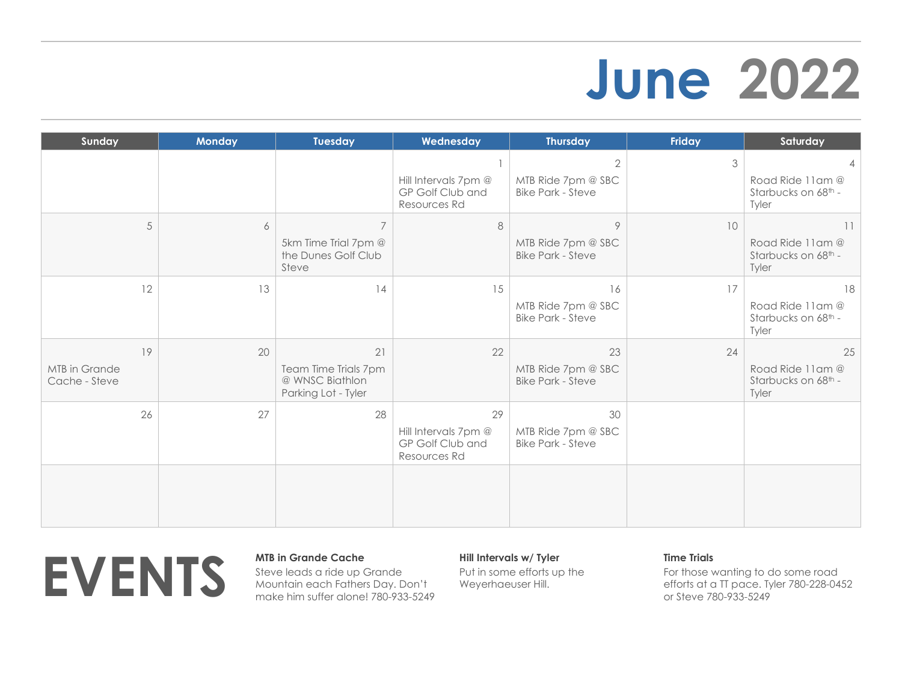## **June 2022**

| Sunday                               | <b>Monday</b> | Tuesday                                                                | Wednesday                                                      | <b>Thursday</b>                                                  | <b>Friday</b> | Saturday                                               |
|--------------------------------------|---------------|------------------------------------------------------------------------|----------------------------------------------------------------|------------------------------------------------------------------|---------------|--------------------------------------------------------|
|                                      |               |                                                                        | Hill Intervals 7pm @<br>GP Golf Club and<br>Resources Rd       | $\overline{2}$<br>MTB Ride 7pm @ SBC<br><b>Bike Park - Steve</b> | 3             | Road Ride 11am @<br>Starbucks on 68th -<br>Tyler       |
| 5                                    | 6             | $\overline{7}$<br>5km Time Trial 7pm @<br>the Dunes Golf Club<br>Steve | 8                                                              | $\circ$<br>MTB Ride 7pm @ SBC<br><b>Bike Park - Steve</b>        | 10            | 11<br>Road Ride 11am @<br>Starbucks on 68th -<br>Tyler |
| 12                                   | 13            | 14                                                                     | 15                                                             | 16<br>MTB Ride 7pm @ SBC<br><b>Bike Park - Steve</b>             | 17            | 18<br>Road Ride 11am @<br>Starbucks on 68th -<br>Tyler |
| 19<br>MTB in Grande<br>Cache - Steve | 20            | 21<br>Team Time Trials 7pm<br>@ WNSC Biathlon<br>Parking Lot - Tyler   | 22                                                             | 23<br>MTB Ride 7pm @ SBC<br><b>Bike Park - Steve</b>             | 24            | 25<br>Road Ride 11am @<br>Starbucks on 68th -<br>Tyler |
| 26                                   | 27            | 28                                                                     | 29<br>Hill Intervals 7pm @<br>GP Golf Club and<br>Resources Rd | 30<br>MTB Ride 7pm @ SBC<br><b>Bike Park - Steve</b>             |               |                                                        |
|                                      |               |                                                                        |                                                                |                                                                  |               |                                                        |



Steve leads a ride up Grande Mountain each Fathers Day. Don't make him suffer alone! 780-933-5249

## **Hill Intervals w/ Tyler**

Put in some efforts up the Weyerhaeuser Hill.

## **Time Trials**

For those wanting to do some road efforts at a TT pace. Tyler 780-228-0452 or Steve 780-933-5249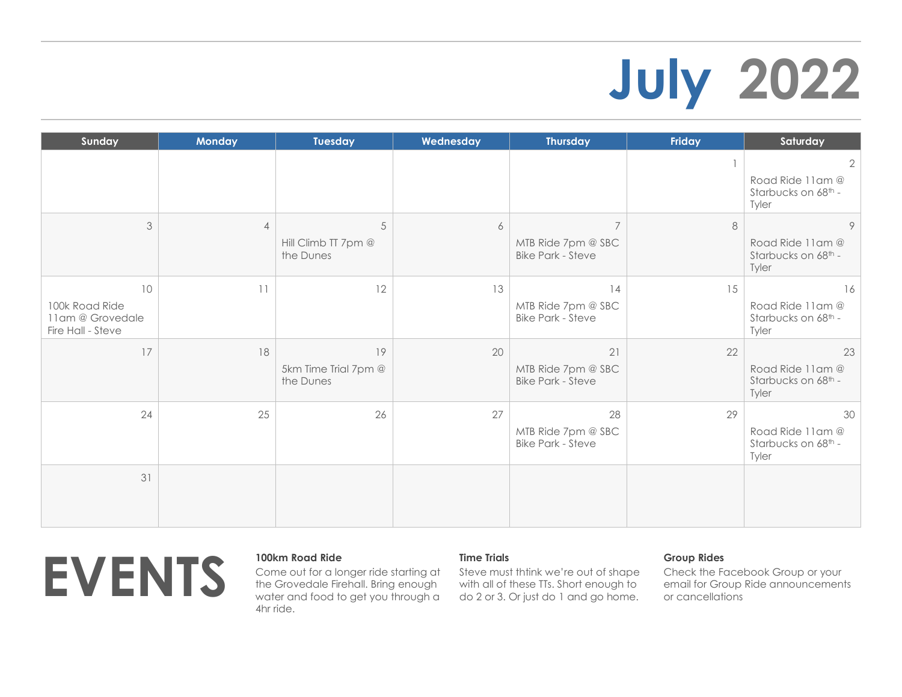# **July 2022**

| Sunday                                                        | <b>Monday</b>  | <b>Tuesday</b>                                 | Wednesday | <b>Thursday</b>                                                  | <b>Friday</b> | Saturday                                                           |
|---------------------------------------------------------------|----------------|------------------------------------------------|-----------|------------------------------------------------------------------|---------------|--------------------------------------------------------------------|
|                                                               |                |                                                |           |                                                                  |               | $\overline{2}$<br>Road Ride 11am @<br>Starbucks on 68th -<br>Tyler |
| 3                                                             | $\overline{4}$ | $\sqrt{5}$<br>Hill Climb TT 7pm @<br>the Dunes | 6         | $\overline{7}$<br>MTB Ride 7pm @ SBC<br><b>Bike Park - Steve</b> | 8             | 9<br>Road Ride 11am @<br>Starbucks on 68th -<br>Tyler              |
| 10<br>100k Road Ride<br>11am @ Grovedale<br>Fire Hall - Steve | 11             | 12                                             | 13        | 14<br>MTB Ride 7pm @ SBC<br><b>Bike Park - Steve</b>             | 15            | 16<br>Road Ride 11am @<br>Starbucks on 68th -<br>Tyler             |
| 17                                                            | 18             | 19<br>5km Time Trial 7pm @<br>the Dunes        | 20        | 21<br>MTB Ride 7pm @ SBC<br><b>Bike Park - Steve</b>             | 22            | 23<br>Road Ride 11am @<br>Starbucks on 68th -<br>Tyler             |
| 24                                                            | 25             | 26                                             | 27        | 28<br>MTB Ride 7pm @ SBC<br><b>Bike Park - Steve</b>             | 29            | 30<br>Road Ride 11am @<br>Starbucks on 68th -<br>Tyler             |
| 31                                                            |                |                                                |           |                                                                  |               |                                                                    |



Come out for a longer ride starting at the Grovedale Firehall. Bring enough water and food to get you through a 4hr ride.

## **Time Trials**

Steve must thtink we're out of shape with all of these TTs. Short enough to do 2 or 3. Or just do 1 and go home.

## **Group Rides**

Check the Facebook Group or your email for Group Ride announcements or cancellations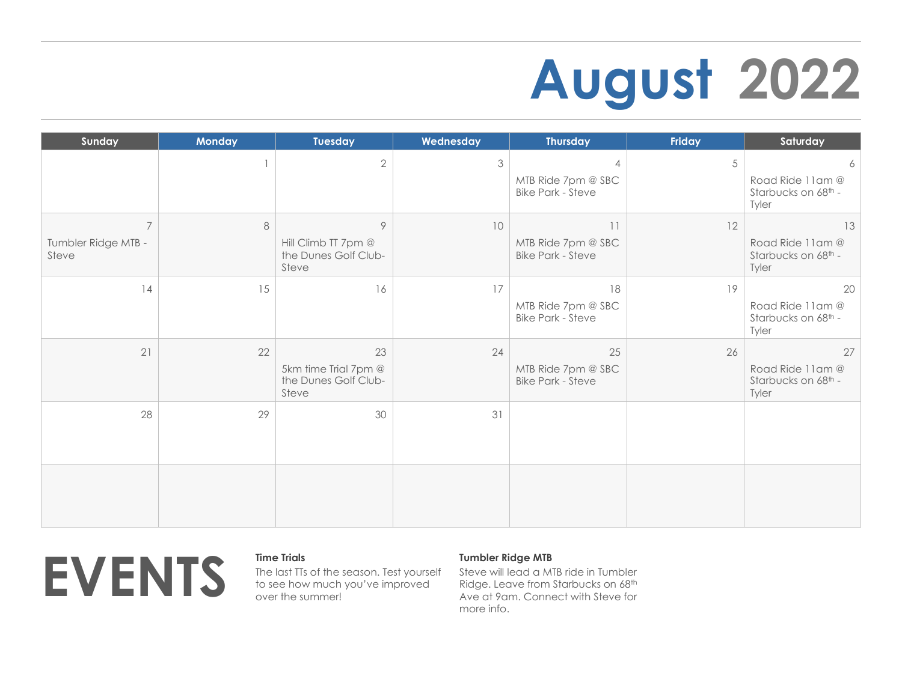# **August 2022**

| Sunday                                         | <b>Monday</b> | <b>Tuesday</b>                                              | Wednesday | <b>Thursday</b>                                                  | Friday | Saturday                                               |
|------------------------------------------------|---------------|-------------------------------------------------------------|-----------|------------------------------------------------------------------|--------|--------------------------------------------------------|
|                                                | $\mathbf{1}$  | $\overline{2}$                                              | 3         | $\overline{4}$<br>MTB Ride 7pm @ SBC<br><b>Bike Park - Steve</b> | 5      | 6<br>Road Ride 11am @<br>Starbucks on 68th -<br>Tyler  |
| $\overline{7}$<br>Tumbler Ridge MTB -<br>Steve | 8             | 9<br>Hill Climb TT 7pm @<br>the Dunes Golf Club-<br>Steve   | 10        | 11<br>MTB Ride 7pm @ SBC<br><b>Bike Park - Steve</b>             | 12     | 13<br>Road Ride 11am @<br>Starbucks on 68th -<br>Tyler |
| 14                                             | 15            | 16                                                          | 17        | 18<br>MTB Ride 7pm @ SBC<br><b>Bike Park - Steve</b>             | 19     | 20<br>Road Ride 11am @<br>Starbucks on 68th -<br>Tyler |
| 21                                             | 22            | 23<br>5km time Trial 7pm @<br>the Dunes Golf Club-<br>Steve | 24        | 25<br>MTB Ride 7pm @ SBC<br><b>Bike Park - Steve</b>             | 26     | 27<br>Road Ride 11am @<br>Starbucks on 68th -<br>Tyler |
| 28                                             | 29            | 30                                                          | 31        |                                                                  |        |                                                        |
|                                                |               |                                                             |           |                                                                  |        |                                                        |



The last TTs of the season. Test yourself to see how much you've improved over the summer!

## **Tumbler Ridge MTB**

Steve will lead a MTB ride in Tumbler Ridge. Leave from Starbucks on 68th Ave at 9am. Connect with Steve for more info.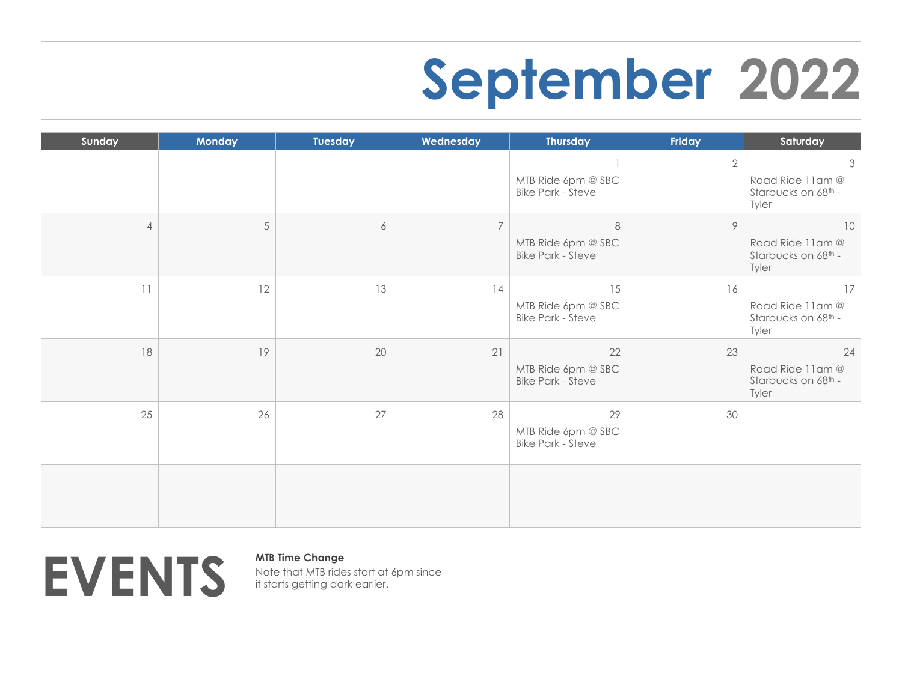## **September 2022**

| Sunday         | Monday     | Tuesday | Wednesday      | <b>Thursday</b>                                           | Friday       | Saturday                                                           |
|----------------|------------|---------|----------------|-----------------------------------------------------------|--------------|--------------------------------------------------------------------|
|                |            |         |                | MTB Ride 6pm @ SBC<br><b>Bike Park - Steve</b>            | $\mathbf{2}$ | $\mathfrak{Z}$<br>Road Ride 11am @<br>Starbucks on 68th -<br>Tyler |
| $\overline{4}$ | $\sqrt{5}$ | 6       | $\overline{7}$ | $\,8\,$<br>MTB Ride 6pm @ SBC<br><b>Bike Park - Steve</b> | $\circ$      | 10<br>Road Ride 11am @<br>Starbucks on 68th -<br>Tyler             |
| 11             | 12         | 13      | 14             | 15<br>MTB Ride 6pm @ SBC<br><b>Bike Park - Steve</b>      | 16           | 17<br>Road Ride 11am @<br>Starbucks on 68th -<br>Tyler             |
| 18             | 19         | 20      | 21             | 22<br>MTB Ride 6pm @ SBC<br><b>Bike Park - Steve</b>      | 23           | 24<br>Road Ride 11am @<br>Starbucks on 68th -<br>Tyler             |
| 25             | 26         | 27      | 28             | 29<br>MTB Ride 6pm @ SBC<br><b>Bike Park - Steve</b>      | 30           |                                                                    |
|                |            |         |                |                                                           |              |                                                                    |



Note that MTB rides start at 6pm since it starts getting dark earlier.